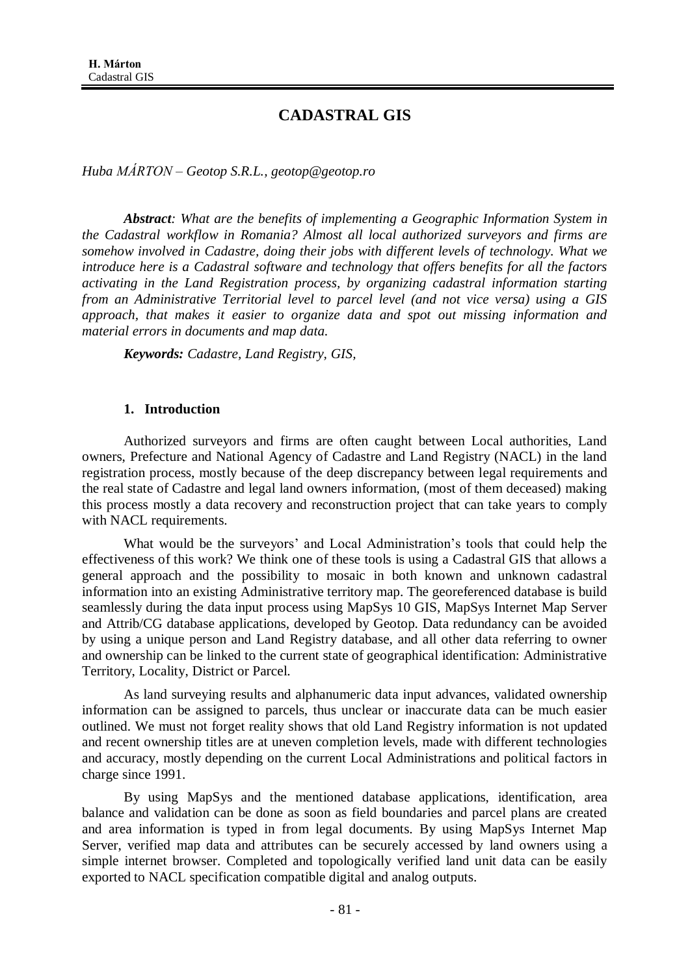# **CADASTRAL GIS**

*Huba MÁRTON – Geotop S.R.L., geotop@geotop.ro* 

*Abstract: What are the benefits of implementing a Geographic Information System in the Cadastral workflow in Romania? Almost all local authorized surveyors and firms are somehow involved in Cadastre, doing their jobs with different levels of technology. What we introduce here is a Cadastral software and technology that offers benefits for all the factors activating in the Land Registration process, by organizing cadastral information starting from an Administrative Territorial level to parcel level (and not vice versa) using a GIS approach, that makes it easier to organize data and spot out missing information and material errors in documents and map data.*

*Keywords: Cadastre, Land Registry, GIS,*

#### **1. Introduction**

Authorized surveyors and firms are often caught between Local authorities, Land owners, Prefecture and National Agency of Cadastre and Land Registry (NACL) in the land registration process, mostly because of the deep discrepancy between legal requirements and the real state of Cadastre and legal land owners information, (most of them deceased) making this process mostly a data recovery and reconstruction project that can take years to comply with NACL requirements.

What would be the surveyors' and Local Administration's tools that could help the effectiveness of this work? We think one of these tools is using a Cadastral GIS that allows a general approach and the possibility to mosaic in both known and unknown cadastral information into an existing Administrative territory map. The georeferenced database is build seamlessly during the data input process using MapSys 10 GIS, MapSys Internet Map Server and Attrib/CG database applications, developed by Geotop. Data redundancy can be avoided by using a unique person and Land Registry database, and all other data referring to owner and ownership can be linked to the current state of geographical identification: Administrative Territory, Locality, District or Parcel.

As land surveying results and alphanumeric data input advances, validated ownership information can be assigned to parcels, thus unclear or inaccurate data can be much easier outlined. We must not forget reality shows that old Land Registry information is not updated and recent ownership titles are at uneven completion levels, made with different technologies and accuracy, mostly depending on the current Local Administrations and political factors in charge since 1991.

By using MapSys and the mentioned database applications, identification, area balance and validation can be done as soon as field boundaries and parcel plans are created and area information is typed in from legal documents. By using MapSys Internet Map Server, verified map data and attributes can be securely accessed by land owners using a simple internet browser. Completed and topologically verified land unit data can be easily exported to NACL specification compatible digital and analog outputs.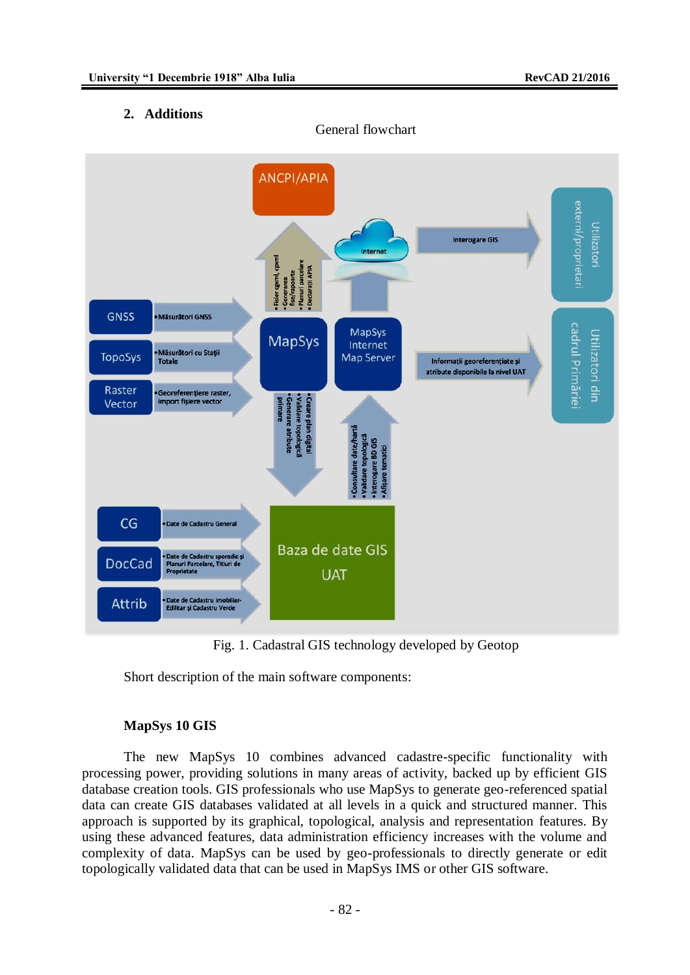## **2. Additions**



Fig. 1. Cadastral GIS technology developed by Geotop

Short description of the main software components:

## **MapSys 10 GIS**

The new MapSys 10 combines advanced cadastre-specific functionality with processing power, providing solutions in many areas of activity, backed up by efficient GIS database creation tools. GIS professionals who use MapSys to generate geo-referenced spatial data can create GIS databases validated at all levels in a quick and structured manner. This approach is supported by its graphical, topological, analysis and representation features. By using these advanced features, data administration efficiency increases with the volume and complexity of data. MapSys can be used by geo-professionals to directly generate or edit topologically validated data that can be used in MapSys IMS or other GIS software.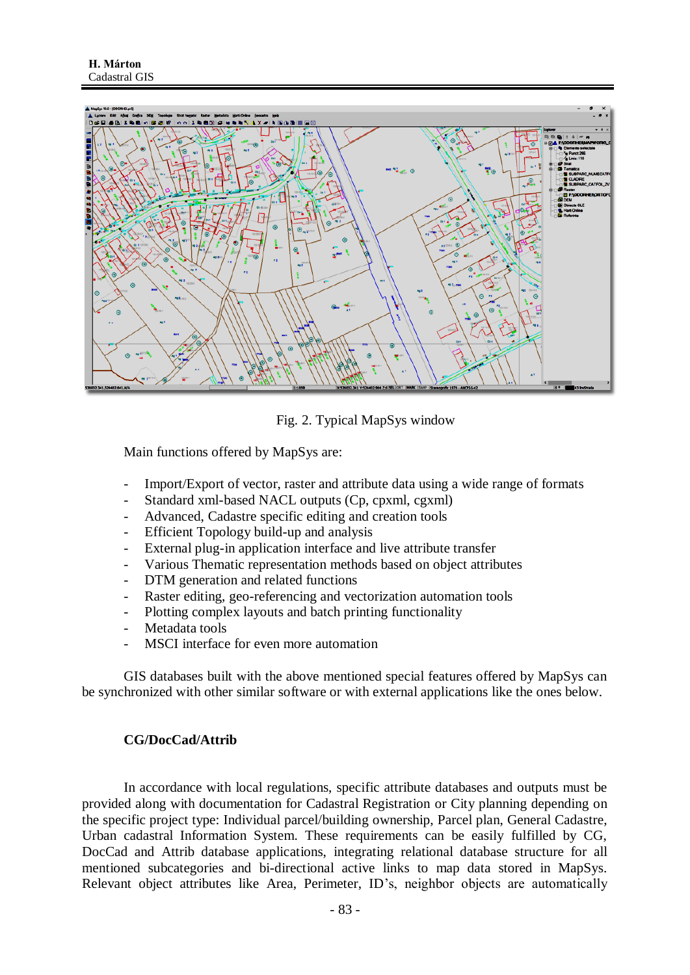

Fig. 2. Typical MapSys window

Main functions offered by MapSys are:

- Import/Export of vector, raster and attribute data using a wide range of formats
- Standard xml-based NACL outputs (Cp, cpxml, cgxml)
- Advanced, Cadastre specific editing and creation tools
- Efficient Topology build-up and analysis
- External plug-in application interface and live attribute transfer
- Various Thematic representation methods based on object attributes
- DTM generation and related functions
- Raster editing, geo-referencing and vectorization automation tools
- Plotting complex layouts and batch printing functionality
- Metadata tools
- MSCI interface for even more automation

GIS databases built with the above mentioned special features offered by MapSys can be synchronized with other similar software or with external applications like the ones below.

## **CG/DocCad/Attrib**

In accordance with local regulations, specific attribute databases and outputs must be provided along with documentation for Cadastral Registration or City planning depending on the specific project type: Individual parcel/building ownership, Parcel plan, General Cadastre, Urban cadastral Information System. These requirements can be easily fulfilled by CG, DocCad and Attrib database applications, integrating relational database structure for all mentioned subcategories and bi-directional active links to map data stored in MapSys. Relevant object attributes like Area, Perimeter, ID's, neighbor objects are automatically